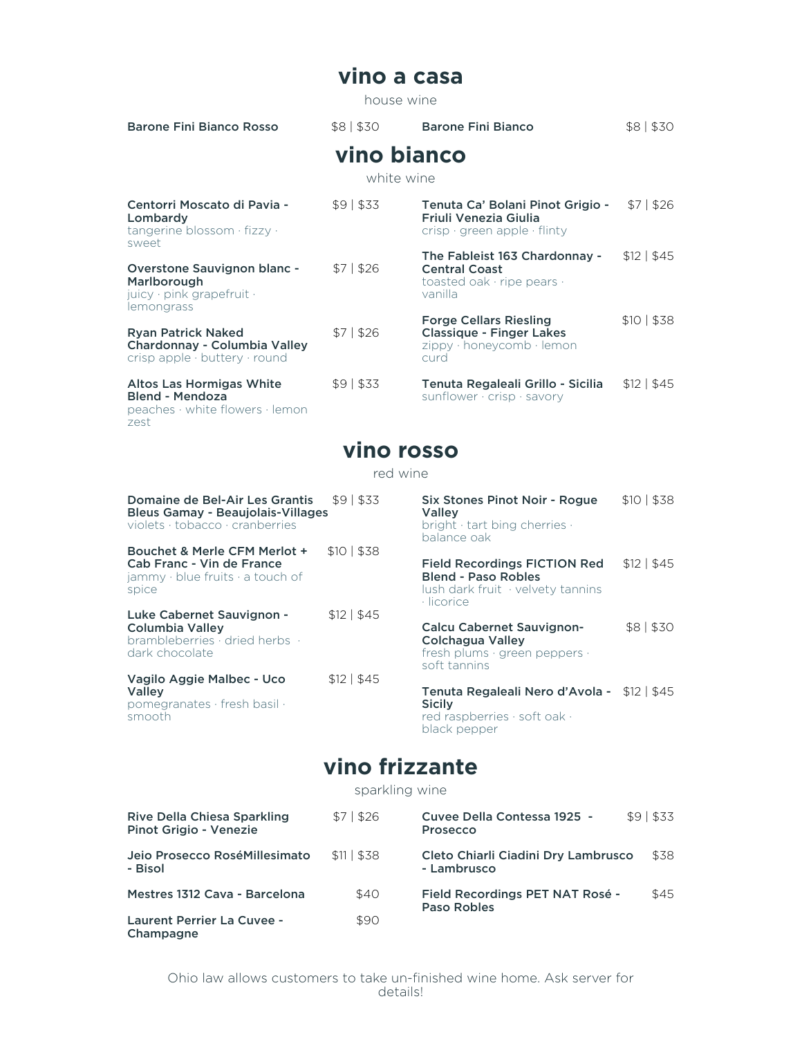#### **vino a casa**

house wine

| Barone Fini Bianco Rosso    | \$8 530     | <b>Barone Fini Bianco</b>                          | \$8 530 |
|-----------------------------|-------------|----------------------------------------------------|---------|
|                             | vino bianco |                                                    |         |
|                             |             | white wine                                         |         |
| Centorri Moscato di Pavia - | \$91\$33    | <b>Tenuta Ca' Bolani Pinot Grigio - \$7   \$26</b> |         |

Lombardy tangerine blossom · fizzy · sweet Friuli Venezia Giulia crisp · green apple · flinty Overstone Sauvignon blanc - \$7 | \$26 Marlborough juicy · pink grapefruit · lemongrass The Fableist 163 Chardonnay - \$12 | \$45 Central Coast toasted oak · ripe pears · vanilla Ryan Patrick Naked \$7 | \$26 Chardonnay - Columbia Valley crisp apple · buttery · round Forge Cellars Riesling \$10 | \$38 Classique - Finger Lakes zippy · honeycomb · lemon curd Altos Las Hormigas White  $$9 | $33$ Blend - Mendoza peaches · white flowers · lemon Tenuta Regaleali Grillo - Sicilia \$12 | \$45 sunflower · crisp · savory

#### **vino rosso**

zest

#### red wine

| Domaine de Bel-Air Les Grantis<br><b>Bleus Gamay - Beaujolais-Villages</b><br>violets $\cdot$ tobacco $\cdot$ cranberries | \$91\$33       | Six Stones Pinot Noir - Rogue<br>Valley<br>bright · tart bing cherries ·<br>balance oak                              | \$10   \$38    |
|---------------------------------------------------------------------------------------------------------------------------|----------------|----------------------------------------------------------------------------------------------------------------------|----------------|
| Bouchet & Merle CFM Merlot +<br>Cab Franc - Vin de France<br>jammy $\cdot$ blue fruits $\cdot$ a touch of<br>spice        | \$10   \$38    | <b>Field Recordings FICTION Red</b><br><b>Blend - Paso Robles</b><br>lush dark fruit · velvety tannins<br>· licorice | $$12 \mid $45$ |
| Luke Cabernet Sauvignon -<br>Columbia Valley<br>brambleberries · dried herbs ·<br>dark chocolate                          | $$12 \mid $45$ | Calcu Cabernet Sauvignon-<br>Colchagua Valley<br>fresh plums $\cdot$ green peppers $\cdot$<br>soft tannins           | \$8 \$30       |
| Vagilo Aggie Malbec - Uco<br><b>Valley</b><br>pomegranates · fresh basil ·<br>smooth                                      | \$12   \$45    | Tenuta Regaleali Nero d'Avola - \$12   \$45<br><b>Sicily</b><br>red raspberries · soft oak ·<br>black pepper         |                |

#### **vino frizzante**

sparkling wine

| Rive Della Chiesa Sparkling<br>Pinot Grigio - Venezie | \$71\$26    | Cuvee Della Contessa 1925 -<br>Prosecco            | \$91\$33 |
|-------------------------------------------------------|-------------|----------------------------------------------------|----------|
| Jeio Prosecco RoséMillesimato<br>- Bisol              | \$11   \$38 | Cleto Chiarli Ciadini Dry Lambrusco<br>- Lambrusco | \$38     |
| Mestres 1312 Cava - Barcelona                         | \$40        | Field Recordings PET NAT Rosé -<br>Paso Robles     | \$45     |
| <b>Laurent Perrier La Cuvee -</b><br>Champagne        | \$90        |                                                    |          |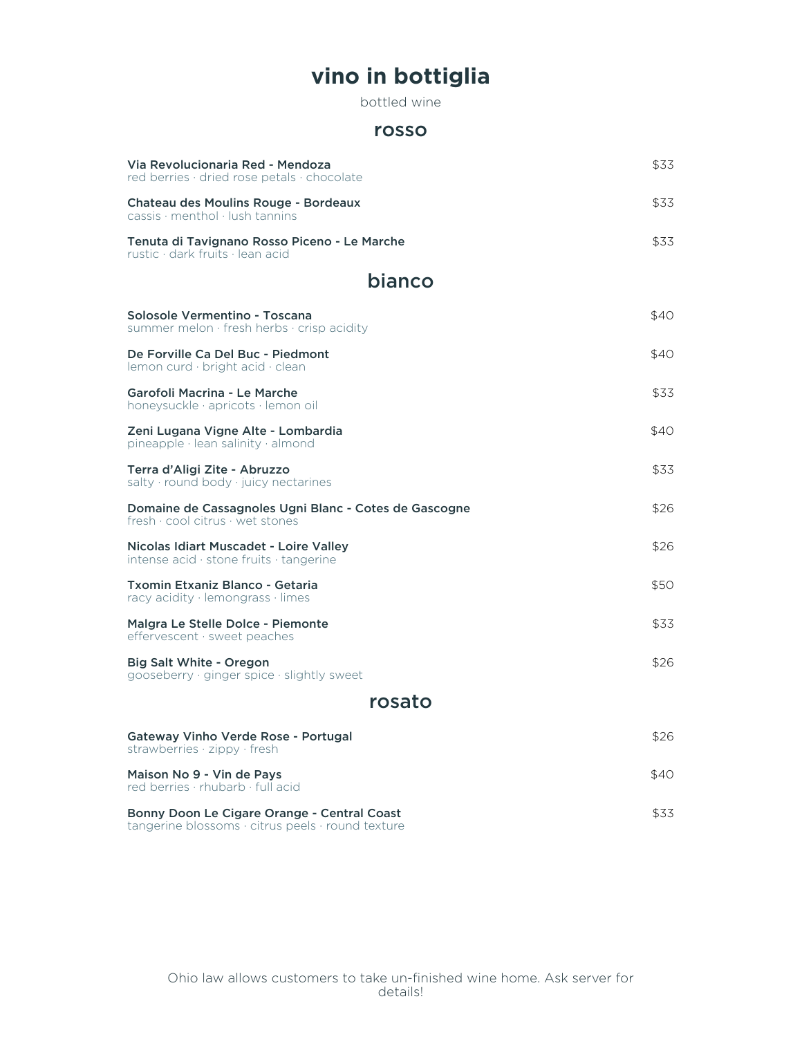## **vino in bottiglia**

bottled wine

#### rosso

| Via Revolucionaria Red - Mendoza<br>red berries · dried rose petals · chocolate                                                 | \$33. |
|---------------------------------------------------------------------------------------------------------------------------------|-------|
| Chateau des Moulins Rouge - Bordeaux<br>$cassis$ menthol lush tannins                                                           | \$33. |
| Tenuta di Tavignano Rosso Piceno - Le Marche<br>rustic · dark fruits · lean acid                                                | \$33  |
| bianco                                                                                                                          |       |
| Solosole Vermentino - Toscana<br>summer melon $\cdot$ fresh herbs $\cdot$ crisp acidity                                         | \$40. |
| De Forville Ca Del Buc - Piedmont<br>lemon curd $\cdot$ bright acid $\cdot$ clean                                               | \$40  |
| Garofoli Macrina - Le Marche<br>honevsuckle · apricots · lemon oil                                                              | \$33  |
| Zeni Lugana Vigne Alte - Lombardia<br>pineapple $\cdot$ lean salinity $\cdot$ almond                                            | \$40  |
| Terra d'Aligi Zite - Abruzzo<br>salty $\cdot$ round body $\cdot$ juicy nectarines                                               | \$33. |
| Domaine de Cassagnoles Ugni Blanc - Cotes de Gascogne<br>${\sf fresh}\cdot{\sf cool}\,{\sf citrus}\cdot{\sf wet}\,{\sf stones}$ | \$26  |
| Nicolas Idiart Muscadet - Loire Valley<br>intense acid $\cdot$ stone fruits $\cdot$ tangerine                                   | \$26  |
| Txomin Etxaniz Blanco - Getaria<br>racy acidity $\cdot$ lemongrass $\cdot$ limes                                                | \$50  |
| Malgra Le Stelle Dolce - Piemonte<br>effervescent · sweet peaches                                                               | \$33  |
| Big Salt White - Oregon<br>gooseberry $\cdot$ ginger spice $\cdot$ slightly sweet                                               | \$26  |
| rosato                                                                                                                          |       |
| Gateway Vinho Verde Rose - Portugal<br>strawberries $\cdot$ zippy $\cdot$ fresh                                                 | \$26  |
| Maison No 9 - Vin de Pays<br>red berries · rhubarb · full acid                                                                  | \$40. |
| Bonny Doon Le Cigare Orange - Central Coast                                                                                     | \$33  |

tangerine blossoms · citrus peels · round texture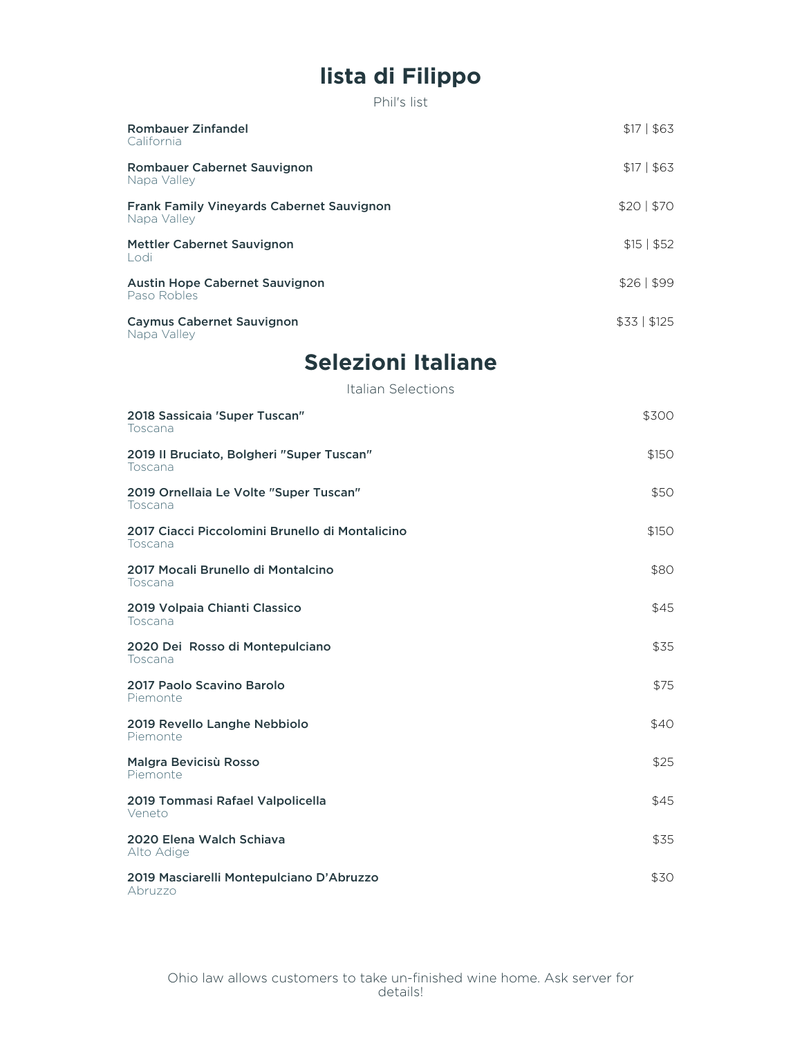# **lista di Filippo**

Phil's list

| Rombauer Zinfandel<br>California                                | \$171\$63       |
|-----------------------------------------------------------------|-----------------|
| Rombauer Cabernet Sauvignon<br>Napa Valley                      | \$17   \$63     |
| <b>Frank Family Vineyards Cabernet Sauvignon</b><br>Napa Valley | \$20 \$70       |
| Mettler Cabernet Sauvignon<br>Lodi                              | \$15   \$52     |
| <b>Austin Hope Cabernet Sauvignon</b><br>Paso Robles            | \$26 \$99       |
| <b>Caymus Cabernet Sauvignon</b>                                | $$33 \mid $125$ |

Napa Valley

# **Selezioni Italiane**

Italian Selections

| 2018 Sassicaia 'Super Tuscan"<br>Toscana                   | \$300 |
|------------------------------------------------------------|-------|
| 2019 Il Bruciato, Bolgheri "Super Tuscan"<br>Toscana       | \$150 |
| 2019 Ornellaia Le Volte "Super Tuscan"<br>Toscana          | \$50  |
| 2017 Ciacci Piccolomini Brunello di Montalicino<br>Toscana | \$150 |
| 2017 Mocali Brunello di Montalcino<br>Toscana              | \$80  |
| 2019 Volpaia Chianti Classico<br>Toscana                   | \$45  |
| 2020 Dei Rosso di Montepulciano<br>Toscana                 | \$35  |
| 2017 Paolo Scavino Barolo<br>Piemonte                      | \$75  |
| 2019 Revello Langhe Nebbiolo<br>Piemonte                   | \$40  |
| Malgra Bevicisù Rosso<br>Piemonte                          | \$25  |
| 2019 Tommasi Rafael Valpolicella<br>Veneto                 | \$45  |
| 2020 Elena Walch Schiava<br>Alto Adige                     | \$35  |
| 2019 Masciarelli Montepulciano D'Abruzzo<br>Abruzzo        | \$30  |